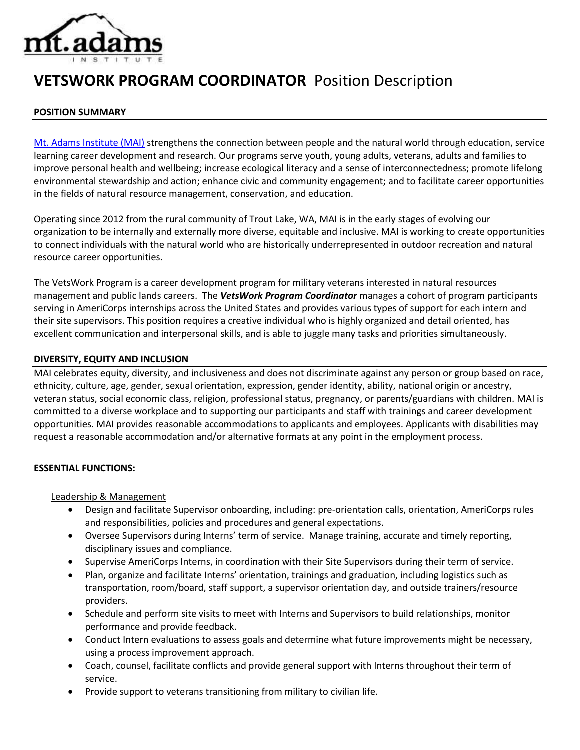

# **VETSWORK PROGRAM COORDINATOR** Position Description

#### **POSITION SUMMARY**

[Mt. Adams Institute \(MAI\)](https://mtadamsinstitute.org/) strengthens the connection between people and the natural world through education, service learning career development and research. Our programs serve youth, young adults, veterans, adults and families to improve personal health and wellbeing; increase ecological literacy and a sense of interconnectedness; promote lifelong environmental stewardship and action; enhance civic and community engagement; and to facilitate career opportunities in the fields of natural resource management, conservation, and education.

Operating since 2012 from the rural community of Trout Lake, WA, MAI is in the early stages of evolving our organization to be internally and externally more diverse, equitable and inclusive. MAI is working to create opportunities to connect individuals with the natural world who are historically underrepresented in outdoor recreation and natural resource career opportunities.

The VetsWork Program is a career development program for military veterans interested in natural resources management and public lands careers. The *VetsWork Program Coordinator* manages a cohort of program participants serving in AmeriCorps internships across the United States and provides various types of support for each intern and their site supervisors. This position requires a creative individual who is highly organized and detail oriented, has excellent communication and interpersonal skills, and is able to juggle many tasks and priorities simultaneously.

#### **DIVERSITY, EQUITY AND INCLUSION**

MAI celebrates equity, diversity, and inclusiveness and does not discriminate against any person or group based on race, ethnicity, culture, age, gender, sexual orientation, expression, gender identity, ability, national origin or ancestry, veteran status, social economic class, religion, professional status, pregnancy, or parents/guardians with children. MAI is committed to a diverse workplace and to supporting our participants and staff with trainings and career development opportunities. MAI provides reasonable accommodations to applicants and employees. Applicants with disabilities may request a reasonable accommodation and/or alternative formats at any point in the employment process.

#### **ESSENTIAL FUNCTIONS:**

#### Leadership & Management

- Design and facilitate Supervisor onboarding, including: pre-orientation calls, orientation, AmeriCorps rules and responsibilities, policies and procedures and general expectations.
- Oversee Supervisors during Interns' term of service. Manage training, accurate and timely reporting, disciplinary issues and compliance.
- Supervise AmeriCorps Interns, in coordination with their Site Supervisors during their term of service.
- Plan, organize and facilitate Interns' orientation, trainings and graduation, including logistics such as transportation, room/board, staff support, a supervisor orientation day, and outside trainers/resource providers.
- Schedule and perform site visits to meet with Interns and Supervisors to build relationships, monitor performance and provide feedback.
- Conduct Intern evaluations to assess goals and determine what future improvements might be necessary, using a process improvement approach.
- Coach, counsel, facilitate conflicts and provide general support with Interns throughout their term of service.
- Provide support to veterans transitioning from military to civilian life.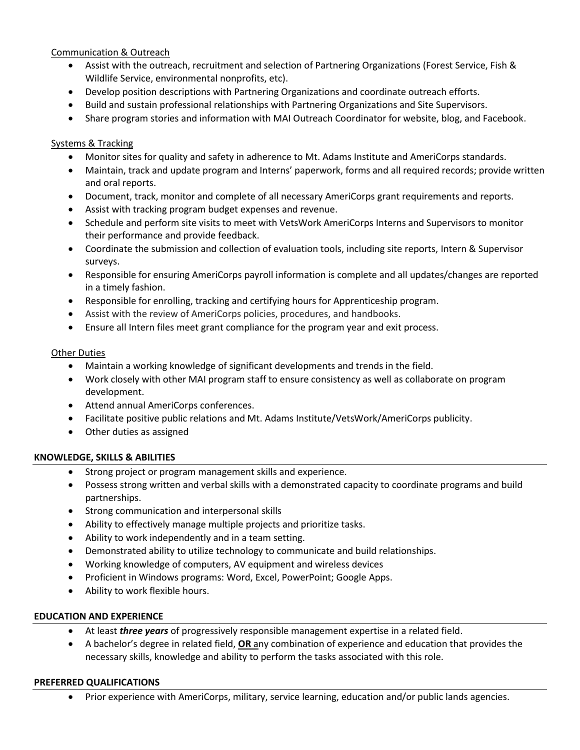## Communication & Outreach

- Assist with the outreach, recruitment and selection of Partnering Organizations (Forest Service, Fish & Wildlife Service, environmental nonprofits, etc).
- Develop position descriptions with Partnering Organizations and coordinate outreach efforts.
- Build and sustain professional relationships with Partnering Organizations and Site Supervisors.
- Share program stories and information with MAI Outreach Coordinator for website, blog, and Facebook.

# Systems & Tracking

- Monitor sites for quality and safety in adherence to Mt. Adams Institute and AmeriCorps standards.
- Maintain, track and update program and Interns' paperwork, forms and all required records; provide written and oral reports.
- Document, track, monitor and complete of all necessary AmeriCorps grant requirements and reports.
- Assist with tracking program budget expenses and revenue.
- Schedule and perform site visits to meet with VetsWork AmeriCorps Interns and Supervisors to monitor their performance and provide feedback.
- Coordinate the submission and collection of evaluation tools, including site reports, Intern & Supervisor surveys.
- Responsible for ensuring AmeriCorps payroll information is complete and all updates/changes are reported in a timely fashion.
- Responsible for enrolling, tracking and certifying hours for Apprenticeship program.
- Assist with the review of AmeriCorps policies, procedures, and handbooks.
- Ensure all Intern files meet grant compliance for the program year and exit process.

## Other Duties

- Maintain a working knowledge of significant developments and trends in the field.
- Work closely with other MAI program staff to ensure consistency as well as collaborate on program development.
- Attend annual AmeriCorps conferences.
- Facilitate positive public relations and Mt. Adams Institute/VetsWork/AmeriCorps publicity.
- Other duties as assigned

## **KNOWLEDGE, SKILLS & ABILITIES**

- Strong project or program management skills and experience.
- Possess strong written and verbal skills with a demonstrated capacity to coordinate programs and build partnerships.
- **•** Strong communication and interpersonal skills
- Ability to effectively manage multiple projects and prioritize tasks.
- Ability to work independently and in a team setting.
- Demonstrated ability to utilize technology to communicate and build relationships.
- Working knowledge of computers, AV equipment and wireless devices
- Proficient in Windows programs: Word, Excel, PowerPoint; Google Apps.
- Ability to work flexible hours.

## **EDUCATION AND EXPERIENCE**

- At least *three years* of progressively responsible management expertise in a related field.
- A bachelor's degree in related field, **OR** any combination of experience and education that provides the necessary skills, knowledge and ability to perform the tasks associated with this role.

## **PREFERRED QUALIFICATIONS**

Prior experience with AmeriCorps, military, service learning, education and/or public lands agencies.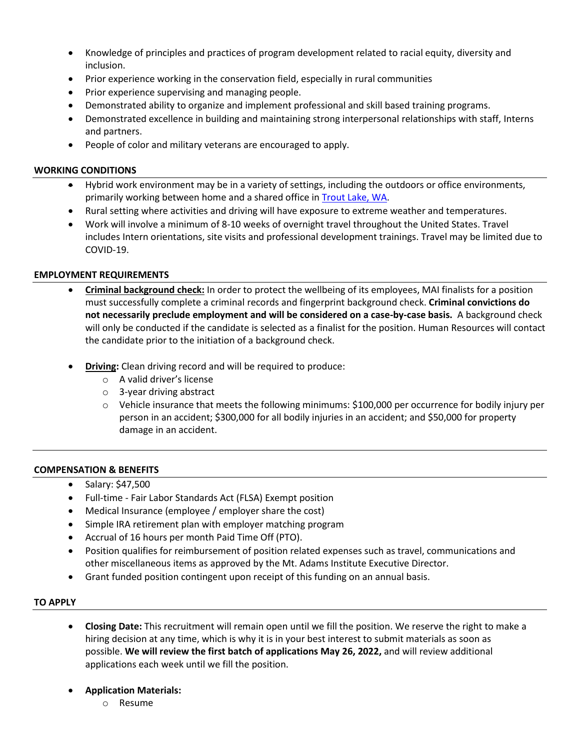- Knowledge of principles and practices of program development related to racial equity, diversity and inclusion.
- Prior experience working in the conservation field, especially in rural communities
- Prior experience supervising and managing people.
- Demonstrated ability to organize and implement professional and skill based training programs.
- Demonstrated excellence in building and maintaining strong interpersonal relationships with staff, Interns and partners.
- People of color and military veterans are encouraged to apply.

#### **WORKING CONDITIONS**

- Hybrid work environment may be in a variety of settings, including the outdoors or office environments, primarily working between home and a shared office in **Trout Lake, WA**.
- Rural setting where activities and driving will have exposure to extreme weather and temperatures.
- Work will involve a minimum of 8-10 weeks of overnight travel throughout the United States. Travel includes Intern orientations, site visits and professional development trainings. Travel may be limited due to COVID-19.

## **EMPLOYMENT REQUIREMENTS**

- **Criminal background check:** In order to protect the wellbeing of its employees, MAI finalists for a position must successfully complete a criminal records and fingerprint background check. **Criminal convictions do not necessarily preclude employment and will be considered on a case-by-case basis.** A background check will only be conducted if the candidate is selected as a finalist for the position. Human Resources will contact the candidate prior to the initiation of a background check.
- **Driving:** Clean driving record and will be required to produce:
	- o A valid driver's license
	- o 3-year driving abstract
	- $\circ$  Vehicle insurance that meets the following minimums: \$100,000 per occurrence for bodily injury per person in an accident; \$300,000 for all bodily injuries in an accident; and \$50,000 for property damage in an accident.

## **COMPENSATION & BENEFITS**

- Salary: \$47,500
- Full-time Fair Labor Standards Act (FLSA) Exempt position
- Medical Insurance (employee / employer share the cost)
- Simple IRA retirement plan with employer matching program
- Accrual of 16 hours per month Paid Time Off (PTO).
- Position qualifies for reimbursement of position related expenses such as travel, communications and other miscellaneous items as approved by the Mt. Adams Institute Executive Director.
- Grant funded position contingent upon receipt of this funding on an annual basis.

## **TO APPLY**

- **Closing Date:** This recruitment will remain open until we fill the position. We reserve the right to make a hiring decision at any time, which is why it is in your best interest to submit materials as soon as possible. **We will review the first batch of applications May 26, 2022,** and will review additional applications each week until we fill the position.
- **Application Materials:**
	- o Resume